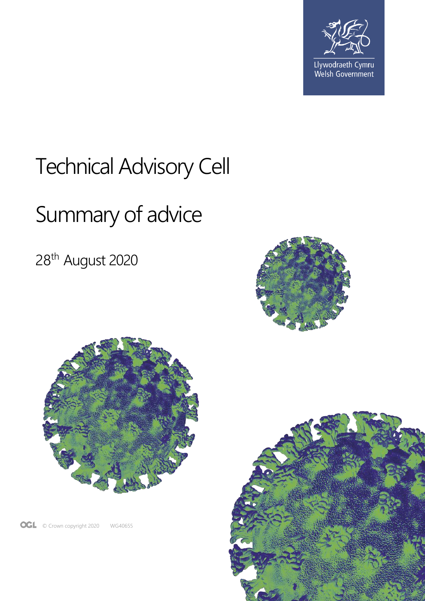

## Technical Advisory Cell

# Summary of advice

28th August 2020





OGL © Crown copyright 2020 WG40655

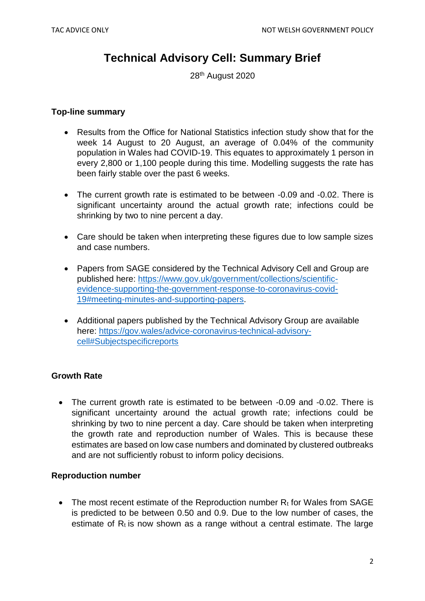### **Technical Advisory Cell: Summary Brief**

28<sup>th</sup> August 2020

#### **Top-line summary**

- Results from the Office for National Statistics infection study show that for the week 14 August to 20 August, an average of 0.04% of the community population in Wales had COVID-19. This equates to approximately 1 person in every 2,800 or 1,100 people during this time. Modelling suggests the rate has been fairly stable over the past 6 weeks.
- The current growth rate is estimated to be between -0.09 and -0.02. There is significant uncertainty around the actual growth rate; infections could be shrinking by two to nine percent a day.
- Care should be taken when interpreting these figures due to low sample sizes and case numbers.
- Papers from SAGE considered by the Technical Advisory Cell and Group are published here: [https://www.gov.uk/government/collections/scientific](https://www.gov.uk/government/collections/scientific-evidence-supporting-the-government-response-to-coronavirus-covid-19#meeting-minutes-and-supporting-papers)[evidence-supporting-the-government-response-to-coronavirus-covid-](https://www.gov.uk/government/collections/scientific-evidence-supporting-the-government-response-to-coronavirus-covid-19#meeting-minutes-and-supporting-papers)[19#meeting-minutes-and-supporting-papers.](https://www.gov.uk/government/collections/scientific-evidence-supporting-the-government-response-to-coronavirus-covid-19#meeting-minutes-and-supporting-papers)
- Additional papers published by the Technical Advisory Group are available here: [https://gov.wales/advice-coronavirus-technical-advisory](https://gov.wales/advice-coronavirus-technical-advisory-cell#Subjectspecificreports)[cell#Subjectspecificreports](https://gov.wales/advice-coronavirus-technical-advisory-cell#Subjectspecificreports)

#### **Growth Rate**

• The current growth rate is estimated to be between -0.09 and -0.02. There is significant uncertainty around the actual growth rate; infections could be shrinking by two to nine percent a day. Care should be taken when interpreting the growth rate and reproduction number of Wales. This is because these estimates are based on low case numbers and dominated by clustered outbreaks and are not sufficiently robust to inform policy decisions.

#### **Reproduction number**

• The most recent estimate of the Reproduction number  $R_t$  for Wales from SAGE is predicted to be between 0.50 and 0.9. Due to the low number of cases, the estimate of  $R_t$  is now shown as a range without a central estimate. The large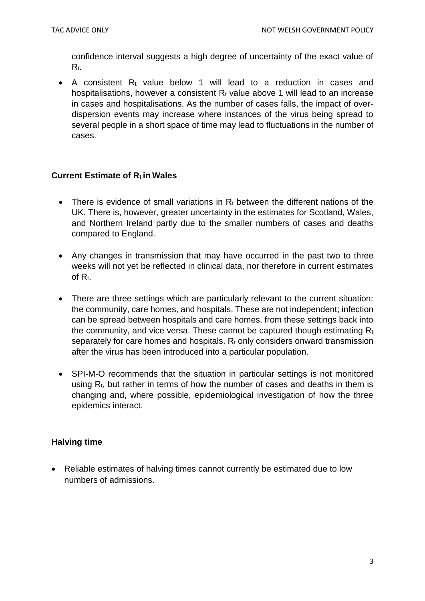confidence interval suggests a high degree of uncertainty of the exact value of Rt.

• A consistent  $R_t$  value below 1 will lead to a reduction in cases and hospitalisations, however a consistent  $R_t$  value above 1 will lead to an increase in cases and hospitalisations. As the number of cases falls, the impact of overdispersion events may increase where instances of the virus being spread to several people in a short space of time may lead to fluctuations in the number of cases.

#### **Current Estimate of Rt in Wales**

- There is evidence of small variations in  $R_t$  between the different nations of the UK. There is, however, greater uncertainty in the estimates for Scotland, Wales, and Northern Ireland partly due to the smaller numbers of cases and deaths compared to England.
- Any changes in transmission that may have occurred in the past two to three weeks will not yet be reflected in clinical data, nor therefore in current estimates of Rt.
- There are three settings which are particularly relevant to the current situation: the community, care homes, and hospitals. These are not independent; infection can be spread between hospitals and care homes, from these settings back into the community, and vice versa. These cannot be captured though estimating  $R_t$ separately for care homes and hospitals.  $R_t$  only considers onward transmission after the virus has been introduced into a particular population.
- SPI-M-O recommends that the situation in particular settings is not monitored using  $R_t$ , but rather in terms of how the number of cases and deaths in them is changing and, where possible, epidemiological investigation of how the three epidemics interact.

#### **Halving time**

 Reliable estimates of halving times cannot currently be estimated due to low numbers of admissions.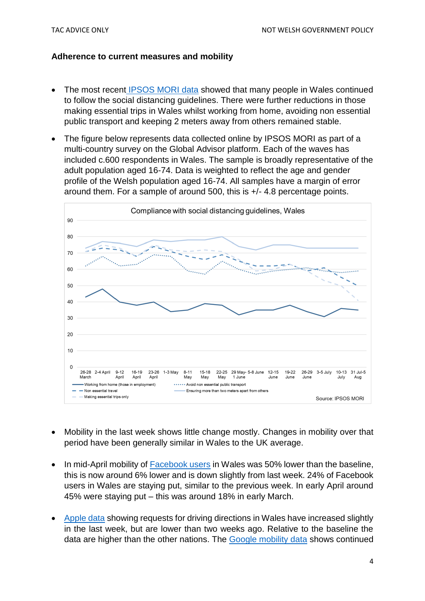#### **Adherence to current measures and mobility**

- The most recent [IPSOS MORI data](https://gov.wales/survey-public-views-coronavirus-covid-19) showed that many people in Wales continued to follow the social distancing guidelines. There were further reductions in those making essential trips in Wales whilst working from home, avoiding non essential public transport and keeping 2 meters away from others remained stable.
- The figure below represents data collected online by IPSOS MORI as part of a multi-country survey on the Global Advisor platform. Each of the waves has included c.600 respondents in Wales. The sample is broadly representative of the adult population aged 16-74. Data is weighted to reflect the age and gender profile of the Welsh population aged 16-74. All samples have a margin of error around them. For a sample of around 500, this is +/- 4.8 percentage points.



- Mobility in the last week shows little change mostly. Changes in mobility over that period have been generally similar in Wales to the UK average.
- In mid-April mobility of [Facebook users](https://data.humdata.org/dataset/movement-range-maps) in Wales was 50% lower than the baseline, this is now around 6% lower and is down slightly from last week. 24% of Facebook users in Wales are staying put, similar to the previous week. In early April around 45% were staying put – this was around 18% in early March.
- [Apple data](https://www.apple.com/covid19/mobility) showing requests for driving directions in Wales have increased slightly in the last week, but are lower than two weeks ago. Relative to the baseline the data are higher than the other nations. The [Google mobility data](https://www.google.com/covid19/mobility/) shows continued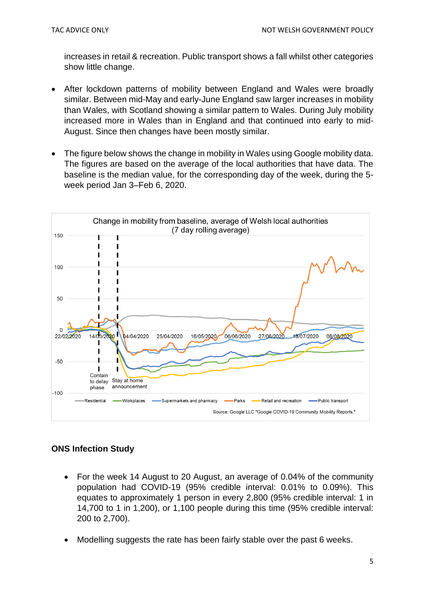increases in retail & recreation. Public transport shows a fall whilst other categories show little change.

- After lockdown patterns of mobility between England and Wales were broadly similar. Between mid-May and early-June England saw larger increases in mobility than Wales, with Scotland showing a similar pattern to Wales. During July mobility increased more in Wales than in England and that continued into early to mid-August. Since then changes have been mostly similar.
- The figure below shows the change in mobility in Wales using Google mobility data. The figures are based on the average of the local authorities that have data. The baseline is the median value, for the corresponding day of the week, during the 5 week period Jan 3–Feb 6, 2020.



#### **ONS Infection Study**

- For the week 14 August to 20 August, an average of 0.04% of the community population had COVID-19 (95% credible interval: 0.01% to 0.09%). This equates to approximately 1 person in every 2,800 (95% credible interval: 1 in 14,700 to 1 in 1,200), or 1,100 people during this time (95% credible interval: 200 to 2,700).
- Modelling suggests the rate has been fairly stable over the past 6 weeks.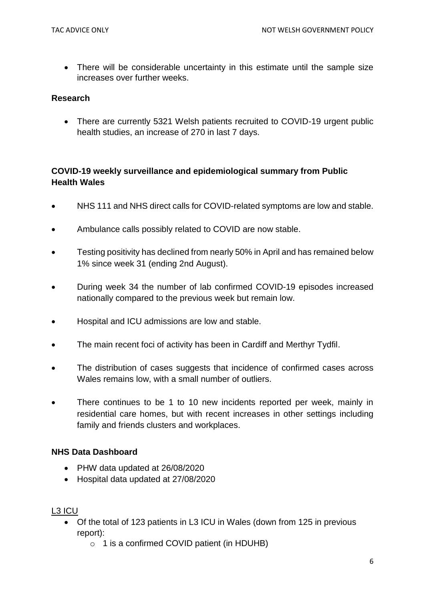• There will be considerable uncertainty in this estimate until the sample size increases over further weeks.

#### **Research**

• There are currently 5321 Welsh patients recruited to COVID-19 urgent public health studies, an increase of 270 in last 7 days.

### **COVID-19 weekly surveillance and epidemiological summary from Public Health Wales**

- NHS 111 and NHS direct calls for COVID-related symptoms are low and stable.
- Ambulance calls possibly related to COVID are now stable.
- Testing positivity has declined from nearly 50% in April and has remained below 1% since week 31 (ending 2nd August).
- During week 34 the number of lab confirmed COVID-19 episodes increased nationally compared to the previous week but remain low.
- Hospital and ICU admissions are low and stable.
- The main recent foci of activity has been in Cardiff and Merthyr Tydfil.
- The distribution of cases suggests that incidence of confirmed cases across Wales remains low, with a small number of outliers.
- There continues to be 1 to 10 new incidents reported per week, mainly in residential care homes, but with recent increases in other settings including family and friends clusters and workplaces.

#### **NHS Data Dashboard**

- PHW data updated at 26/08/2020
- Hospital data updated at 27/08/2020

#### L3 ICU

- Of the total of 123 patients in L3 ICU in Wales (down from 125 in previous report):
	- $\circ$  1 is a confirmed COVID patient (in HDUHB)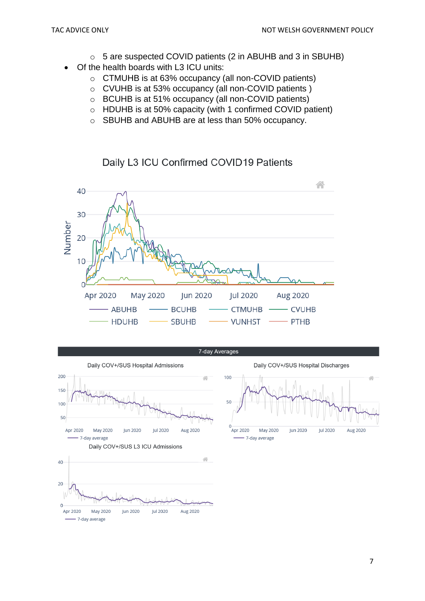- o 5 are suspected COVID patients (2 in ABUHB and 3 in SBUHB)
- Of the health boards with L3 ICU units:
	- o CTMUHB is at 63% occupancy (all non-COVID patients)
	- o CVUHB is at 53% occupancy (all non-COVID patients )
	- o BCUHB is at 51% occupancy (all non-COVID patients)
	- o HDUHB is at 50% capacity (with 1 confirmed COVID patient)
	- o SBUHB and ABUHB are at less than 50% occupancy.

### Daily L3 ICU Confirmed COVID19 Patients





- 7-day average